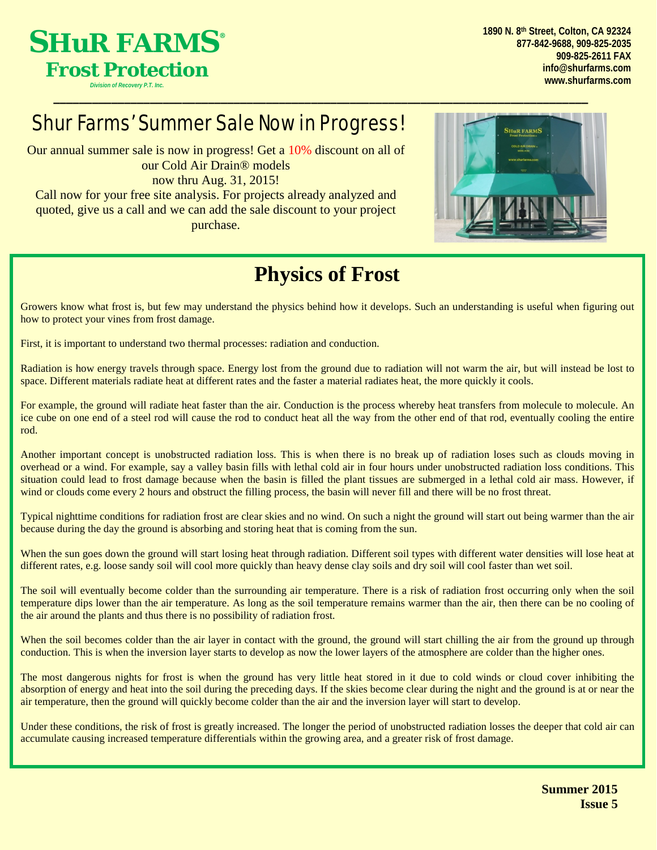

*Division of Recovery P.T. Inc.*

**1890 N. 8th Street, Colton, CA 92324 877-842-9688, 909-825-2035 909-825-2611 FAX [info@shurfarms.com](mailto:info@shurfarms.com) [www.shurfarms.com](http://www.shurfarms.com/)**

## Shur Farms' Summer Sale Now in Progress!

Our annual summer sale is now in progress! Get a 10% discount on all of our Cold Air Drain® models now thru Aug. 31, 2015!

Call now for your free site analysis. For projects already analyzed and quoted, give us a call and we can add the sale discount to your project purchase.



## **Physics of Frost**

\_\_\_\_\_\_\_\_\_\_\_\_\_\_\_\_\_\_\_\_\_\_\_\_\_\_\_\_\_\_\_\_\_\_\_\_\_\_\_\_\_\_\_\_\_\_\_\_\_\_\_\_\_\_\_\_\_\_\_\_\_\_\_\_\_\_\_\_\_\_\_\_\_\_\_\_\_\_\_\_\_\_\_

Growers know what frost is, but few may understand the physics behind how it develops. Such an understanding is useful when figuring out how to protect your vines from frost damage.

First, it is important to understand two thermal processes: radiation and conduction.

Radiation is how energy travels through space. Energy lost from the ground due to radiation will not warm the air, but will instead be lost to space. Different materials radiate heat at different rates and the faster a material radiates heat, the more quickly it cools.

For example, the ground will radiate heat faster than the air. Conduction is the process whereby heat transfers from molecule to molecule. An ice cube on one end of a steel rod will cause the rod to conduct heat all the way from the other end of that rod, eventually cooling the entire rod.

Another important concept is unobstructed radiation loss. This is when there is no break up of radiation loses such as clouds moving in overhead or a wind. For example, say a valley basin fills with lethal cold air in four hours under unobstructed radiation loss conditions. This situation could lead to frost damage because when the basin is filled the plant tissues are submerged in a lethal cold air mass. However, if wind or clouds come every 2 hours and obstruct the filling process, the basin will never fill and there will be no frost threat.

Typical nighttime conditions for radiation frost are clear skies and no wind. On such a night the ground will start out being warmer than the air because during the day the ground is absorbing and storing heat that is coming from the sun.

When the sun goes down the ground will start losing heat through radiation. Different soil types with different water densities will lose heat at different rates, e.g. loose sandy soil will cool more quickly than heavy dense clay soils and dry soil will cool faster than wet soil.

The soil will eventually become colder than the surrounding air temperature. There is a risk of radiation frost occurring only when the soil temperature dips lower than the air temperature. As long as the soil temperature remains warmer than the air, then there can be no cooling of the air around the plants and thus there is no possibility of radiation frost.

When the soil becomes colder than the air layer in contact with the ground, the ground will start chilling the air from the ground up through conduction. This is when the inversion layer starts to develop as now the lower layers of the atmosphere are colder than the higher ones.

The most dangerous nights for frost is when the ground has very little heat stored in it due to cold winds or cloud cover inhibiting the absorption of energy and heat into the soil during the preceding days. If the skies become clear during the night and the ground is at or near the air temperature, then the ground will quickly become colder than the air and the inversion layer will start to develop.

Under these conditions, the risk of frost is greatly increased. The longer the period of unobstructed radiation losses the deeper that cold air can accumulate causing increased temperature differentials within the growing area, and a greater risk of frost damage.